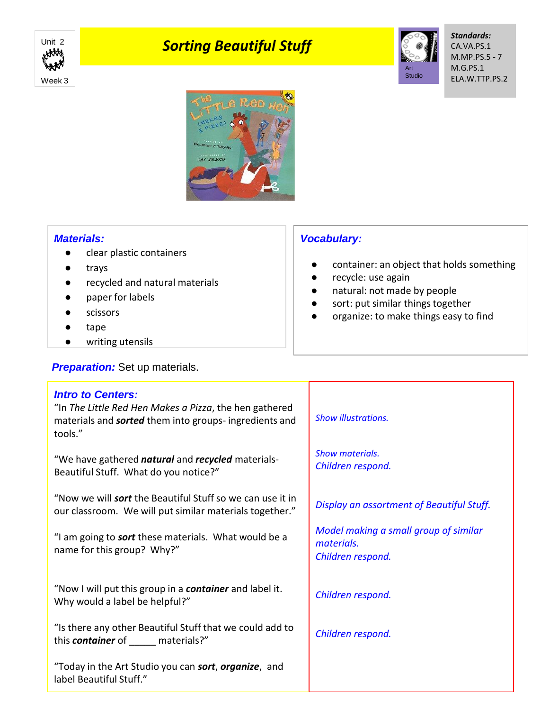

# **Unit 2 Sorting Beautiful Stuff**



*Standards:* CA.VA.PS.1 M.MP.PS.5 - 7 M.G.PS.1 ELA.W.TTP.PS.2



### *Materials:*

- clear plastic containers
- trays
- recycled and natural materials
- paper for labels
- scissors
- tape
- writing utensils

label Beautiful Stuff."

## **Preparation:** Set up materials.

# *Vocabulary:*

- container: an object that holds something
- recycle: use again
- natural: not made by people
- sort: put similar things together
- organize: to make things easy to find

| <b>Intro to Centers:</b><br>"In The Little Red Hen Makes a Pizza, the hen gathered<br>materials and <b>sorted</b> them into groups- ingredients and<br>tools." | <b>Show illustrations.</b>                                               |
|----------------------------------------------------------------------------------------------------------------------------------------------------------------|--------------------------------------------------------------------------|
| "We have gathered <i>natural</i> and <i>recycled</i> materials-<br>Beautiful Stuff. What do you notice?"                                                       | <b>Show materials.</b><br>Children respond.                              |
| "Now we will <b>sort</b> the Beautiful Stuff so we can use it in<br>our classroom. We will put similar materials together."                                    | Display an assortment of Beautiful Stuff.                                |
| "I am going to <b>sort</b> these materials. What would be a<br>name for this group? Why?"                                                                      | Model making a small group of similar<br>materials.<br>Children respond. |
| "Now I will put this group in a <b>container</b> and label it.<br>Why would a label be helpful?"                                                               | Children respond.                                                        |
| "Is there any other Beautiful Stuff that we could add to<br>this <b>container</b> of materials?"                                                               | Children respond.                                                        |
| "Today in the Art Studio you can <b>sort, organize</b> , and                                                                                                   |                                                                          |